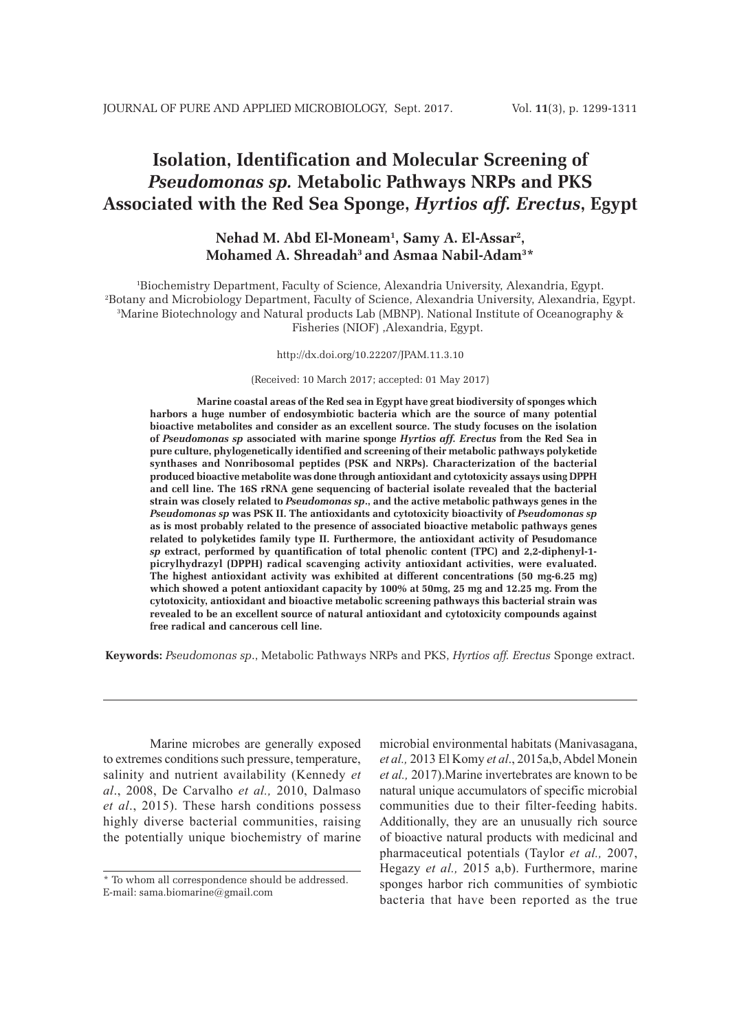# **Isolation, Identification and Molecular Screening of**  *Pseudomonas sp.* **Metabolic Pathways NRPs and PKS Associated with the Red Sea Sponge,** *Hyrtios aff. Erectus***, Egypt**

# **Nehad M. Abd El-Moneam1 , Samy A. El-Assar2 , Mohamed A. Shreadah3 and Asmaa Nabil-Adam3 \***

 Biochemistry Department, Faculty of Science, Alexandria University, Alexandria, Egypt. Botany and Microbiology Department, Faculty of Science, Alexandria University, Alexandria, Egypt. Marine Biotechnology and Natural products Lab (MBNP). National Institute of Oceanography & Fisheries (NIOF) ,Alexandria, Egypt.

http://dx.doi.org/10.22207/JPAM.11.3.10

(Received: 10 March 2017; accepted: 01 May 2017)

**Marine coastal areas of the Red sea in Egypt have great biodiversity of sponges which harbors a huge number of endosymbiotic bacteria which are the source of many potential bioactive metabolites and consider as an excellent source. The study focuses on the isolation of** *Pseudomonas sp* **associated with marine sponge** *Hyrtios aff. Erectus* **from the Red Sea in pure culture, phylogenetically identified and screening of their metabolic pathways polyketide synthases and Nonribosomal peptides (PSK and NRPs). Characterization of the bacterial produced bioactive metabolite was done through antioxidant and cytotoxicity assays using DPPH and cell line. The 16S rRNA gene sequencing of bacterial isolate revealed that the bacterial strain was closely related to** *Pseudomonas sp***., and the active metabolic pathways genes in the**  *Pseudomonas sp* **was PSK II. The antioxidants and cytotoxicity bioactivity of** *Pseudomonas sp* **as is most probably related to the presence of associated bioactive metabolic pathways genes related to polyketides family type II. Furthermore, the antioxidant activity of Pesudomance** *sp* **extract, performed by quantification of total phenolic content (TPC) and 2,2-diphenyl-1 picrylhydrazyl (DPPH) radical scavenging activity antioxidant activities, were evaluated. The highest antioxidant activity was exhibited at different concentrations (50 mg-6.25 mg) which showed a potent antioxidant capacity by 100% at 50mg, 25 mg and 12.25 mg. From the cytotoxicity, antioxidant and bioactive metabolic screening pathways this bacterial strain was revealed to be an excellent source of natural antioxidant and cytotoxicity compounds against free radical and cancerous cell line.**

**Keywords:** *Pseudomonas sp*., Metabolic Pathways NRPs and PKS, *Hyrtios aff. Erectus* Sponge extract.

Marine microbes are generally exposed to extremes conditions such pressure, temperature, salinity and nutrient availability (Kennedy *et al*., 2008, De Carvalho *et al.,* 2010, Dalmaso *et al*., 2015). These harsh conditions possess highly diverse bacterial communities, raising the potentially unique biochemistry of marine microbial environmental habitats (Manivasagana, *et al.,* 2013 El Komy *et al*., 2015a,b, Abdel Monein *et al.,* 2017).Marine invertebrates are known to be natural unique accumulators of specific microbial communities due to their filter-feeding habits. Additionally, they are an unusually rich source of bioactive natural products with medicinal and pharmaceutical potentials (Taylor *et al.,* 2007, Hegazy *et al.,* 2015 a,b). Furthermore, marine sponges harbor rich communities of symbiotic bacteria that have been reported as the true

<sup>\*</sup> To whom all correspondence should be addressed. E-mail: sama.biomarine@gmail.com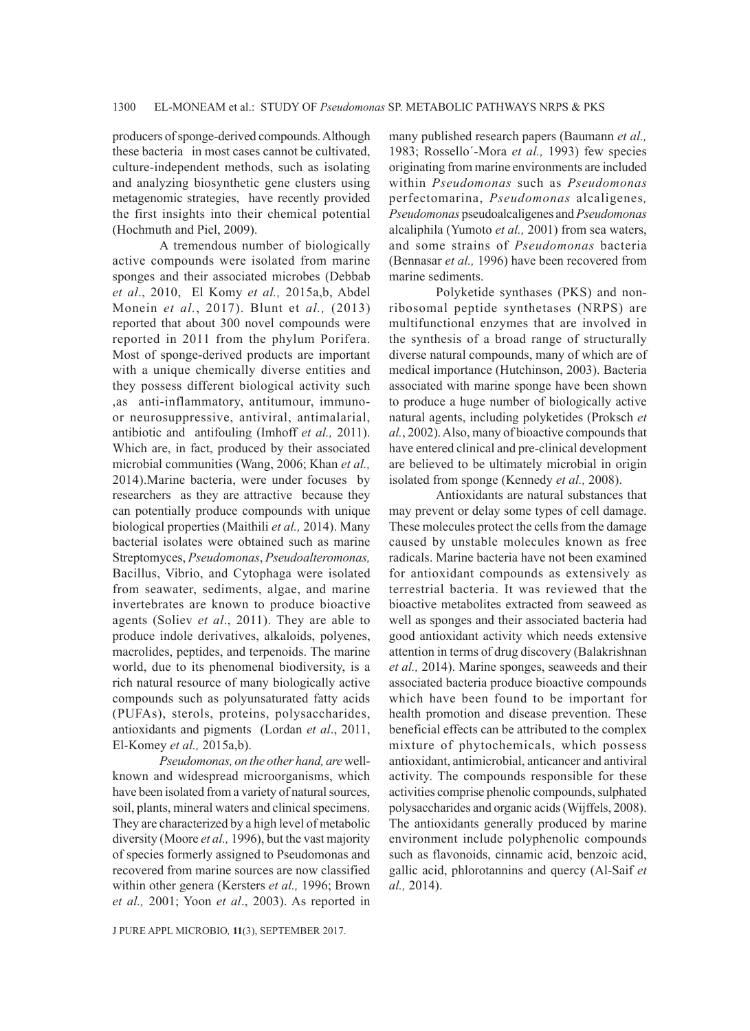producers of sponge-derived compounds. Although these bacteria in most cases cannot be cultivated, culture-independent methods, such as isolating and analyzing biosynthetic gene clusters using metagenomic strategies, have recently provided the first insights into their chemical potential (Hochmuth and Piel, 2009).

A tremendous number of biologically active compounds were isolated from marine sponges and their associated microbes (Debbab *et al*., 2010, El Komy *et al.,* 2015a,b, Abdel Monein *et al.*, 2017). Blunt et *al.,* (2013) reported that about 300 novel compounds were reported in 2011 from the phylum Porifera. Most of sponge-derived products are important with a unique chemically diverse entities and they possess different biological activity such ,as anti-inflammatory, antitumour, immunoor neurosuppressive, antiviral, antimalarial, antibiotic and antifouling (Imhoff *et al.,* 2011). Which are, in fact, produced by their associated microbial communities (Wang, 2006; Khan *et al.,* 2014).Marine bacteria, were under focuses by researchers as they are attractive because they can potentially produce compounds with unique biological properties (Maithili *et al.,* 2014). Many bacterial isolates were obtained such as marine Streptomyces, *Pseudomonas*, *Pseudoalteromonas,* Bacillus, Vibrio, and Cytophaga were isolated from seawater, sediments, algae, and marine invertebrates are known to produce bioactive agents (Soliev *et al*., 2011). They are able to produce indole derivatives, alkaloids, polyenes, macrolides, peptides, and terpenoids. The marine world, due to its phenomenal biodiversity, is a rich natural resource of many biologically active compounds such as polyunsaturated fatty acids (PUFAs), sterols, proteins, polysaccharides, antioxidants and pigments (Lordan *et al*., 2011, El-Komey *et al.,* 2015a,b).

*Pseudomonas, on the other hand, are* wellknown and widespread microorganisms, which have been isolated from a variety of natural sources, soil, plants, mineral waters and clinical specimens. They are characterized by a high level of metabolic diversity (Moore *et al.,* 1996), but the vast majority of species formerly assigned to Pseudomonas and recovered from marine sources are now classified within other genera (Kersters *et al.,* 1996; Brown *et al.,* 2001; Yoon *et al*., 2003). As reported in

J PURE APPL MICROBIO*,* **11**(3), SEPTEMBER 2017.

many published research papers (Baumann *et al.,* 1983; Rossello´-Mora *et al.,* 1993) few species originating from marine environments are included within *Pseudomonas* such as *Pseudomonas* perfectomarina, *Pseudomonas* alcaligenes*, Pseudomonas* pseudoalcaligenes and *Pseudomonas* alcaliphila (Yumoto *et al.,* 2001) from sea waters, and some strains of *Pseudomonas* bacteria (Bennasar *et al.,* 1996) have been recovered from marine sediments.

Polyketide synthases (PKS) and nonribosomal peptide synthetases (NRPS) are multifunctional enzymes that are involved in the synthesis of a broad range of structurally diverse natural compounds, many of which are of medical importance (Hutchinson, 2003). Bacteria associated with marine sponge have been shown to produce a huge number of biologically active natural agents, including polyketides (Proksch *et al.*, 2002). Also, many of bioactive compounds that have entered clinical and pre-clinical development are believed to be ultimately microbial in origin isolated from sponge (Kennedy *et al.,* 2008).

Antioxidants are natural substances that may prevent or delay some types of cell damage. These molecules protect the cells from the damage caused by unstable molecules known as free radicals. Marine bacteria have not been examined for antioxidant compounds as extensively as terrestrial bacteria. It was reviewed that the bioactive metabolites extracted from seaweed as well as sponges and their associated bacteria had good antioxidant activity which needs extensive attention in terms of drug discovery (Balakrishnan *et al.,* 2014). Marine sponges, seaweeds and their associated bacteria produce bioactive compounds which have been found to be important for health promotion and disease prevention. These beneficial effects can be attributed to the complex mixture of phytochemicals, which possess antioxidant, antimicrobial, anticancer and antiviral activity. The compounds responsible for these activities comprise phenolic compounds, sulphated polysaccharides and organic acids (Wijffels, 2008). The antioxidants generally produced by marine environment include polyphenolic compounds such as flavonoids, cinnamic acid, benzoic acid, gallic acid, phlorotannins and quercy (Al-Saif *et al.,* 2014).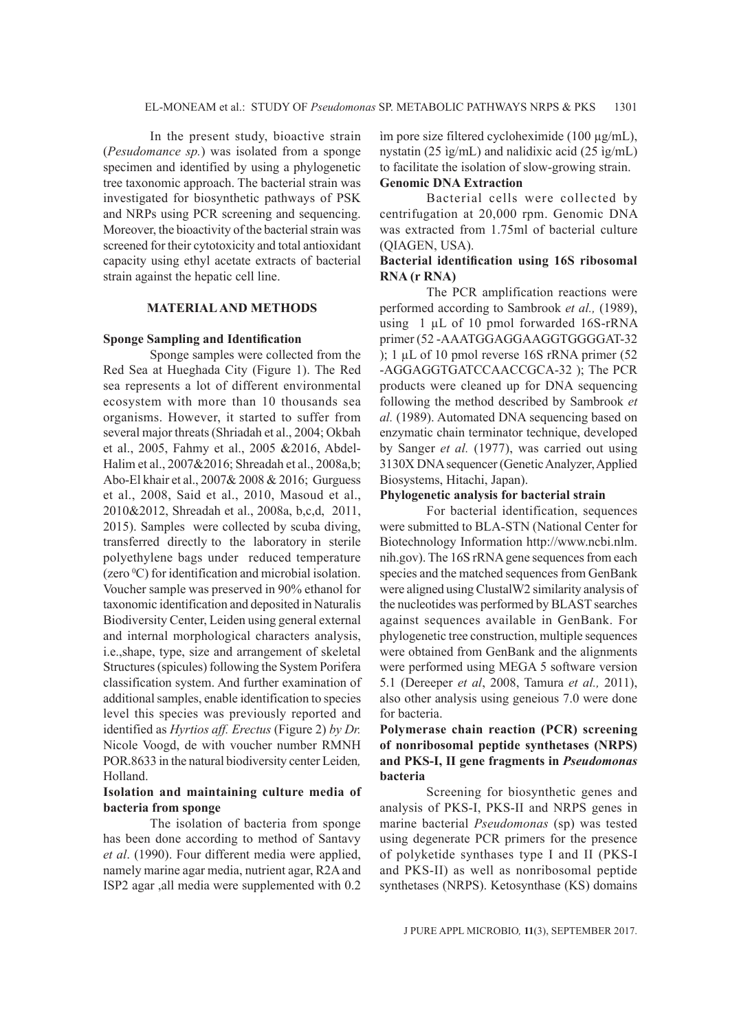In the present study, bioactive strain (*Pesudomance sp.*) was isolated from a sponge specimen and identified by using a phylogenetic tree taxonomic approach. The bacterial strain was investigated for biosynthetic pathways of PSK and NRPs using PCR screening and sequencing. Moreover, the bioactivity of the bacterial strain was screened for their cytotoxicity and total antioxidant capacity using ethyl acetate extracts of bacterial strain against the hepatic cell line.

#### **MATERIAL AND METHODS**

#### **Sponge Sampling and Identification**

Sponge samples were collected from the Red Sea at Hueghada City (Figure 1). The Red sea represents a lot of different environmental ecosystem with more than 10 thousands sea organisms. However, it started to suffer from several major threats (Shriadah et al., 2004; Okbah et al., 2005, Fahmy et al., 2005 &2016, Abdel-Halim et al., 2007&2016; Shreadah et al., 2008a,b; Abo-El khair et al., 2007& 2008 & 2016; Gurguess et al., 2008, Said et al., 2010, Masoud et al., 2010&2012, Shreadah et al., 2008a, b,c,d, 2011, 2015). Samples were collected by scuba diving, transferred directly to the laboratory in sterile polyethylene bags under reduced temperature (zero  ${}^{0}C$ ) for identification and microbial isolation. Voucher sample was preserved in 90% ethanol for taxonomic identification and deposited in Naturalis Biodiversity Center, Leiden using general external and internal morphological characters analysis, i.e.,shape, type, size and arrangement of skeletal Structures (spicules) following the System Porifera classification system. And further examination of additional samples, enable identification to species level this species was previously reported and identified as *Hyrtios aff. Erectus* (Figure 2) *by Dr.*  Nicole Voogd, de with voucher number RMNH POR.8633 in the natural biodiversity center Leiden*,*  Holland.

#### **Isolation and maintaining culture media of bacteria from sponge**

The isolation of bacteria from sponge has been done according to method of Santavy *et al*. (1990). Four different media were applied, namely marine agar media, nutrient agar, R2A and ISP2 agar ,all media were supplemented with 0.2

ìm pore size filtered cycloheximide (100 µg/mL), nystatin (25 ìg/mL) and nalidixic acid (25 ìg/mL) to facilitate the isolation of slow-growing strain. **Genomic DNA Extraction**

Bacterial cells were collected by centrifugation at 20,000 rpm. Genomic DNA was extracted from 1.75ml of bacterial culture (QIAGEN, USA).

#### **Bacterial identification using 16S ribosomal RNA (r RNA)**

The PCR amplification reactions were performed according to Sambrook *et al.,* (1989), using 1 µL of 10 pmol forwarded 16S-rRNA primer (52 -AAATGGAGGAAGGTGGGGAT-32 ); 1 µL of 10 pmol reverse 16S rRNA primer (52 -AGGAGGTGATCCAACCGCA-32 ); The PCR products were cleaned up for DNA sequencing following the method described by Sambrook *et al.* (1989). Automated DNA sequencing based on enzymatic chain terminator technique, developed by Sanger *et al.* (1977), was carried out using 3130X DNA sequencer (Genetic Analyzer, Applied Biosystems, Hitachi, Japan).

# **Phylogenetic analysis for bacterial strain**

For bacterial identification, sequences were submitted to BLA-STN (National Center for Biotechnology Information http://www.ncbi.nlm. nih.gov). The 16S rRNA gene sequences from each species and the matched sequences from GenBank were aligned using ClustalW2 similarity analysis of the nucleotides was performed by BLAST searches against sequences available in GenBank. For phylogenetic tree construction, multiple sequences were obtained from GenBank and the alignments were performed using MEGA 5 software version 5.1 (Dereeper *et al*, 2008, Tamura *et al.,* 2011), also other analysis using geneious 7.0 were done for bacteria.

# **Polymerase chain reaction (PCR) screening of nonribosomal peptide synthetases (NRPS) and PKS-I, II gene fragments in** *Pseudomonas* **bacteria**

Screening for biosynthetic genes and analysis of PKS-I, PKS-II and NRPS genes in marine bacterial *Pseudomonas* (sp) was tested using degenerate PCR primers for the presence of polyketide synthases type I and II (PKS-I and PKS-II) as well as nonribosomal peptide synthetases (NRPS). Ketosynthase (KS) domains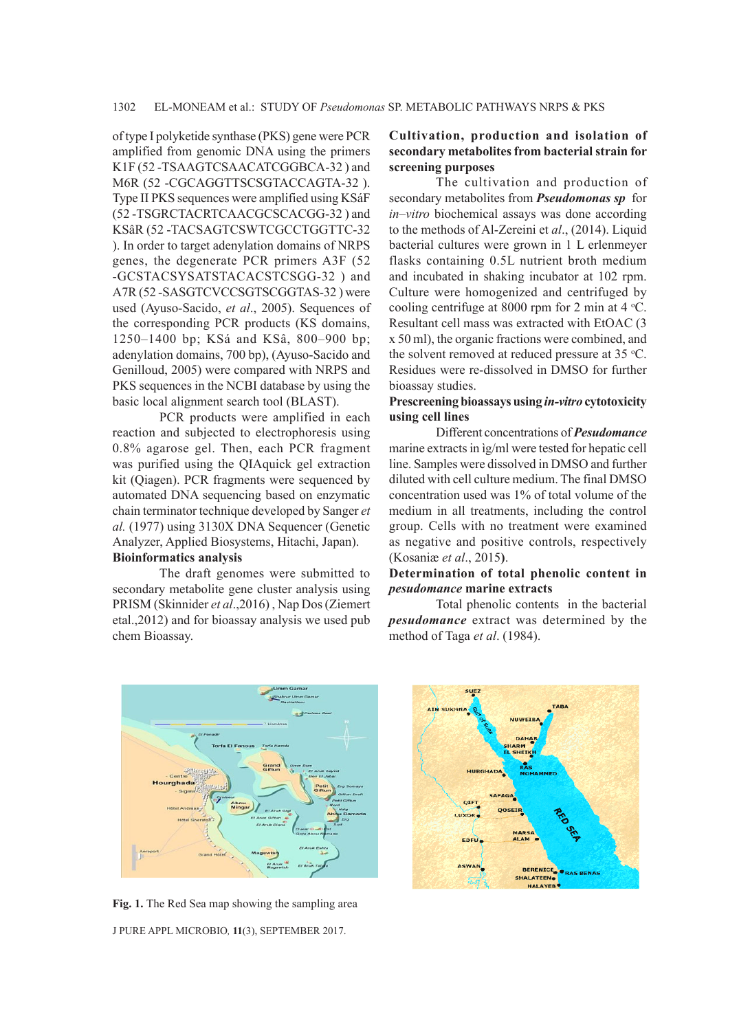of type I polyketide synthase (PKS) gene were PCR amplified from genomic DNA using the primers K1F (52 -TSAAGTCSAACATCGGBCA-32 ) and M6R (52 -CGCAGGTTSCSGTACCAGTA-32 ). Type II PKS sequences were amplified using KSáF (52 -TSGRCTACRTCAACGCSCACGG-32 ) and KSâR (52 -TACSAGTCSWTCGCCTGGTTC-32 ). In order to target adenylation domains of NRPS genes, the degenerate PCR primers A3F (52 -GCSTACSYSATSTACACSTCSGG-32 ) and A7R (52 -SASGTCVCCSGTSCGGTAS-32 ) were used (Ayuso-Sacido, *et al*., 2005). Sequences of the corresponding PCR products (KS domains, 1250–1400 bp; KSá and KSâ, 800–900 bp; adenylation domains, 700 bp), (Ayuso-Sacido and Genilloud, 2005) were compared with NRPS and PKS sequences in the NCBI database by using the basic local alignment search tool (BLAST).

PCR products were amplified in each reaction and subjected to electrophoresis using 0.8% agarose gel. Then, each PCR fragment was purified using the QIAquick gel extraction kit (Qiagen). PCR fragments were sequenced by automated DNA sequencing based on enzymatic chain terminator technique developed by Sanger *et al.* (1977) using 3130X DNA Sequencer (Genetic Analyzer, Applied Biosystems, Hitachi, Japan). **Bioinformatics analysis**

The draft genomes were submitted to secondary metabolite gene cluster analysis using PRISM (Skinnider *et al*.,2016) , Nap Dos (Ziemert etal.,2012) and for bioassay analysis we used pub chem Bioassay.

# **Cultivation, production and isolation of secondary metabolites from bacterial strain for screening purposes**

The cultivation and production of secondary metabolites from *Pseudomonas sp* for *in–vitro* biochemical assays was done according to the methods of Al-Zereini et *al*., (2014). Liquid bacterial cultures were grown in 1 L erlenmeyer flasks containing 0.5L nutrient broth medium and incubated in shaking incubator at 102 rpm. Culture were homogenized and centrifuged by cooling centrifuge at 8000 rpm for 2 min at  $4^{\circ}$ C. Resultant cell mass was extracted with EtOAC (3 x 50 ml), the organic fractions were combined, and the solvent removed at reduced pressure at 35 °C. Residues were re-dissolved in DMSO for further bioassay studies.

#### **Prescreening bioassays using** *in-vitro* **cytotoxicity using cell lines**

Different concentrations of *Pesudomance* marine extracts in ìg/ml were tested for hepatic cell line. Samples were dissolved in DMSO and further diluted with cell culture medium. The final DMSO concentration used was 1% of total volume of the medium in all treatments, including the control group. Cells with no treatment were examined as negative and positive controls, respectively (Kosaniæ *et al*., 2015**)**.

#### **Determination of total phenolic content in** *pesudomance* **marine extracts**

Total phenolic contents in the bacterial *pesudomance* extract was determined by the method of Taga *et al*. (1984).



J PURE APPL MICROBIO*,* **11**(3), SEPTEMBER 2017. **Fig. 1.** The Red Sea map showing the sampling area

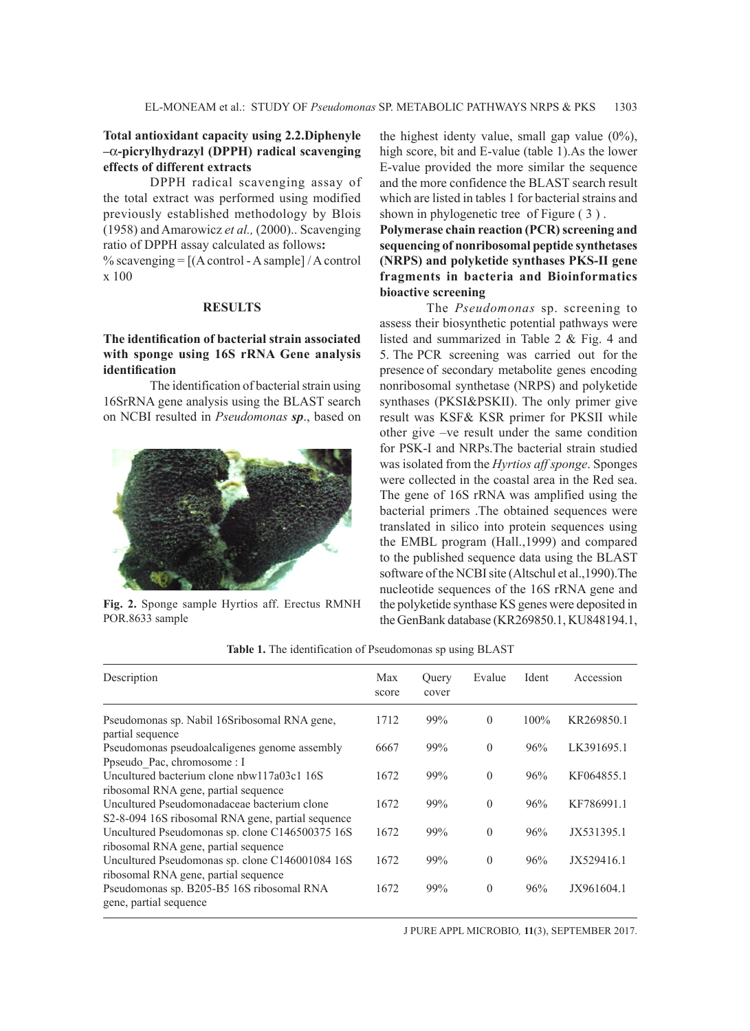### **Total antioxidant capacity using 2.2.Diphenyle –**a**-picrylhydrazyl (DPPH) radical scavenging effects of different extracts**

DPPH radical scavenging assay of the total extract was performed using modified previously established methodology by Blois (1958) and Amarowicz *et al.,* (2000).. Scavenging ratio of DPPH assay calculated as follows**:**  % scavenging  $= [(A control - A sample] / A control]$ x 100

#### **RESULTS**

### **The identification of bacterial strain associated with sponge using 16S rRNA Gene analysis identification**

The identification of bacterial strain using 16SrRNA gene analysis using the BLAST search on NCBI resulted in *Pseudomonas sp*., based on



**Fig. 2.** Sponge sample Hyrtios aff. Erectus RMNH POR.8633 sample

the highest identy value, small gap value (0%), high score, bit and E-value (table 1).As the lower E-value provided the more similar the sequence and the more confidence the BLAST search result which are listed in tables 1 for bacterial strains and shown in phylogenetic tree of Figure ( 3 ) .

**Polymerase chain reaction (PCR) screening and sequencing of nonribosomal peptide synthetases (NRPS) and polyketide synthases PKS-II gene fragments in bacteria and Bioinformatics bioactive screening**

The *Pseudomonas* sp. screening to assess their biosynthetic potential pathways were listed and summarized in Table 2 & Fig. 4 and 5. The PCR screening was carried out for the presence of secondary metabolite genes encoding nonribosomal synthetase (NRPS) and polyketide synthases (PKSI&PSKII). The only primer give result was KSF& KSR primer for PKSII while other give –ve result under the same condition for PSK-I and NRPs.The bacterial strain studied was isolated from the *Hyrtios aff sponge*. Sponges were collected in the coastal area in the Red sea. The gene of 16S rRNA was amplified using the bacterial primers .The obtained sequences were translated in silico into protein sequences using the EMBL program (Hall.,1999) and compared to the published sequence data using the BLAST software of the NCBI site (Altschul et al.,1990).The nucleotide sequences of the 16S rRNA gene and the polyketide synthase KS genes were deposited in the GenBank database (KR269850.1, KU848194.1,

| Description                                                                                      | Max<br>score | Query<br>cover | Evalue         | Ident   | Accession  |
|--------------------------------------------------------------------------------------------------|--------------|----------------|----------------|---------|------------|
| Pseudomonas sp. Nabil 16Sribosomal RNA gene,<br>partial sequence                                 | 1712         | 99%            | $\overline{0}$ | $100\%$ | KR269850.1 |
| Pseudomonas pseudoalcaligenes genome assembly                                                    | 6667         | 99%            | $\theta$       | 96%     | LK391695.1 |
| Ppseudo Pac, chromosome : I                                                                      |              |                |                |         |            |
| Uncultured bacterium clone nbw117a03c1 16S                                                       | 1672         | 99%            | $\overline{0}$ | 96%     | KF064855.1 |
| ribosomal RNA gene, partial sequence                                                             |              |                |                |         |            |
| Uncultured Pseudomonadaceae bacterium clone<br>S2-8-094 16S ribosomal RNA gene, partial sequence | 1672         | 99%            | $\overline{0}$ | 96%     | KF786991.1 |
| Uncultured Pseudomonas sp. clone C146500375 16S<br>ribosomal RNA gene, partial sequence          | 1672         | 99%            | $\theta$       | 96%     | JX531395.1 |
| Uncultured Pseudomonas sp. clone C146001084 16S<br>ribosomal RNA gene, partial sequence          | 1672         | 99%            | $\theta$       | 96%     | JX529416.1 |
| Pseudomonas sp. B205-B5 16S ribosomal RNA<br>gene, partial sequence                              | 1672         | 99%            | $\overline{0}$ | 96%     | JX961604.1 |

**Table 1.** The identification of Pseudomonas sp using BLAST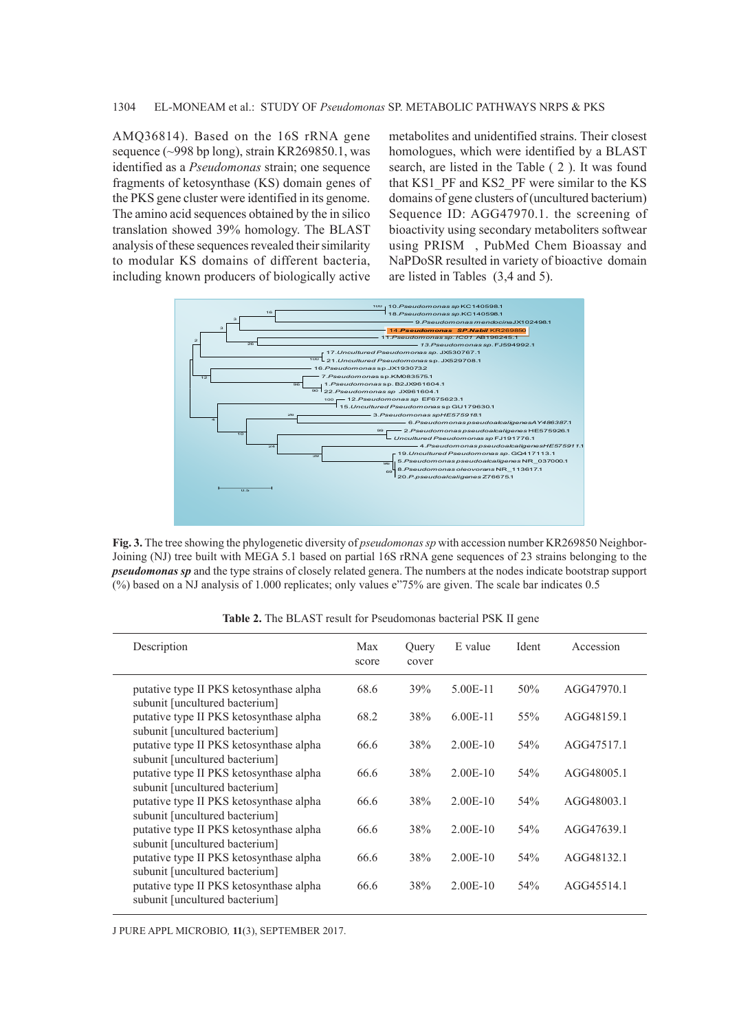AMQ36814). Based on the 16S rRNA gene sequence (~998 bp long), strain KR269850.1, was identified as a *Pseudomonas* strain; one sequence fragments of ketosynthase (KS) domain genes of the PKS gene cluster were identified in its genome. The amino acid sequences obtained by the in silico translation showed 39% homology. The BLAST analysis of these sequences revealed their similarity to modular KS domains of different bacteria, including known producers of biologically active

metabolites and unidentified strains. Their closest homologues, which were identified by a BLAST search, are listed in the Table ( 2 ). It was found that KS1\_PF and KS2\_PF were similar to the KS domains of gene clusters of (uncultured bacterium) Sequence ID: AGG47970.1. the screening of bioactivity using secondary metaboliters softwear using PRISM , PubMed Chem Bioassay and NaPDoSR resulted in variety of bioactive domain are listed in Tables (3,4 and 5).



**Fig. 3.** The tree showing the phylogenetic diversity of *pseudomonas sp* with accession number KR269850 Neighbor-Joining (NJ) tree built with MEGA 5.1 based on partial 16S rRNA gene sequences of 23 strains belonging to the *pseudomonas sp* and the type strains of closely related genera. The numbers at the nodes indicate bootstrap support (%) based on a NJ analysis of 1.000 replicates; only values e"75% are given. The scale bar indicates 0.5

| Description                                                               | Max<br>score | Query<br>cover | E value    | Ident | Accession  |
|---------------------------------------------------------------------------|--------------|----------------|------------|-------|------------|
| putative type II PKS ketosynthase alpha<br>subunit [uncultured bacterium] | 68.6         | 39%            | 5.00E-11   | 50%   | AGG47970.1 |
| putative type II PKS ketosynthase alpha<br>subunit [uncultured bacterium] | 68.2         | 38%            | $6.00E-11$ | 55%   | AGG48159.1 |
| putative type II PKS ketosynthase alpha<br>subunit [uncultured bacterium] | 66.6         | 38%            | $2.00E-10$ | 54%   | AGG47517.1 |
| putative type II PKS ketosynthase alpha<br>subunit [uncultured bacterium] | 66.6         | 38%            | $2.00E-10$ | 54%   | AGG48005.1 |
| putative type II PKS ketosynthase alpha<br>subunit [uncultured bacterium] | 66.6         | 38%            | $2.00E-10$ | 54%   | AGG48003.1 |
| putative type II PKS ketosynthase alpha<br>subunit [uncultured bacterium] | 66.6         | 38%            | $2.00E-10$ | 54%   | AGG47639.1 |
| putative type II PKS ketosynthase alpha<br>subunit [uncultured bacterium] | 66.6         | 38%            | $2.00E-10$ | 54%   | AGG48132.1 |
| putative type II PKS ketosynthase alpha<br>subunit [uncultured bacterium] | 66.6         | 38%            | $2.00E-10$ | 54%   | AGG45514.1 |

**Table 2.** The BLAST result for Pseudomonas bacterial PSK II gene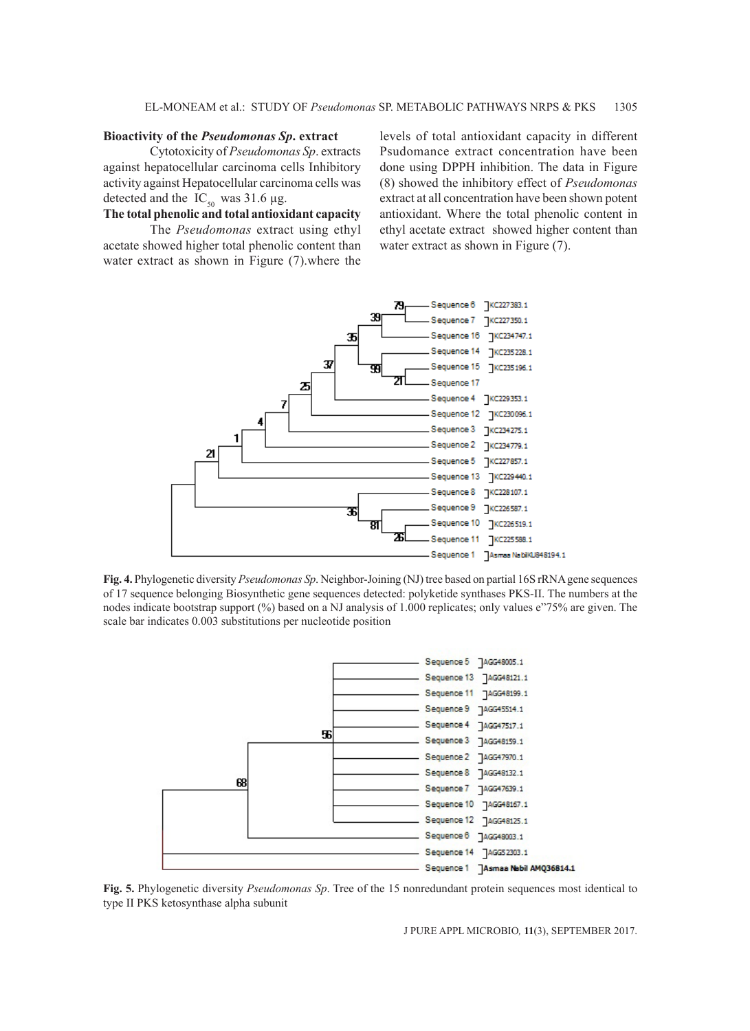#### **Bioactivity of the** *Pseudomonas Sp***. extract**

Cytotoxicity of *Pseudomonas Sp*. extracts against hepatocellular carcinoma cells Inhibitory activity against Hepatocellular carcinoma cells was detected and the  $IC_{50}$  was 31.6 µg.

### **The total phenolic and total antioxidant capacity**

The *Pseudomonas* extract using ethyl acetate showed higher total phenolic content than water extract as shown in Figure (7).where the levels of total antioxidant capacity in different Psudomance extract concentration have been done using DPPH inhibition. The data in Figure (8) showed the inhibitory effect of *Pseudomonas* extract at all concentration have been shown potent antioxidant. Where the total phenolic content in ethyl acetate extract showed higher content than water extract as shown in Figure  $(7)$ .



**Fig. 4.** Phylogenetic diversity *Pseudomonas Sp*. Neighbor-Joining (NJ) tree based on partial 16S rRNA gene sequences of 17 sequence belonging Biosynthetic gene sequences detected: polyketide synthases PKS-II. The numbers at the nodes indicate bootstrap support (%) based on a NJ analysis of 1.000 replicates; only values e"75% are given. The scale bar indicates 0.003 substitutions per nucleotide position



**Fig. 5.** Phylogenetic diversity *Pseudomonas Sp*. Tree of the 15 nonredundant protein sequences most identical to type II PKS ketosynthase alpha subunit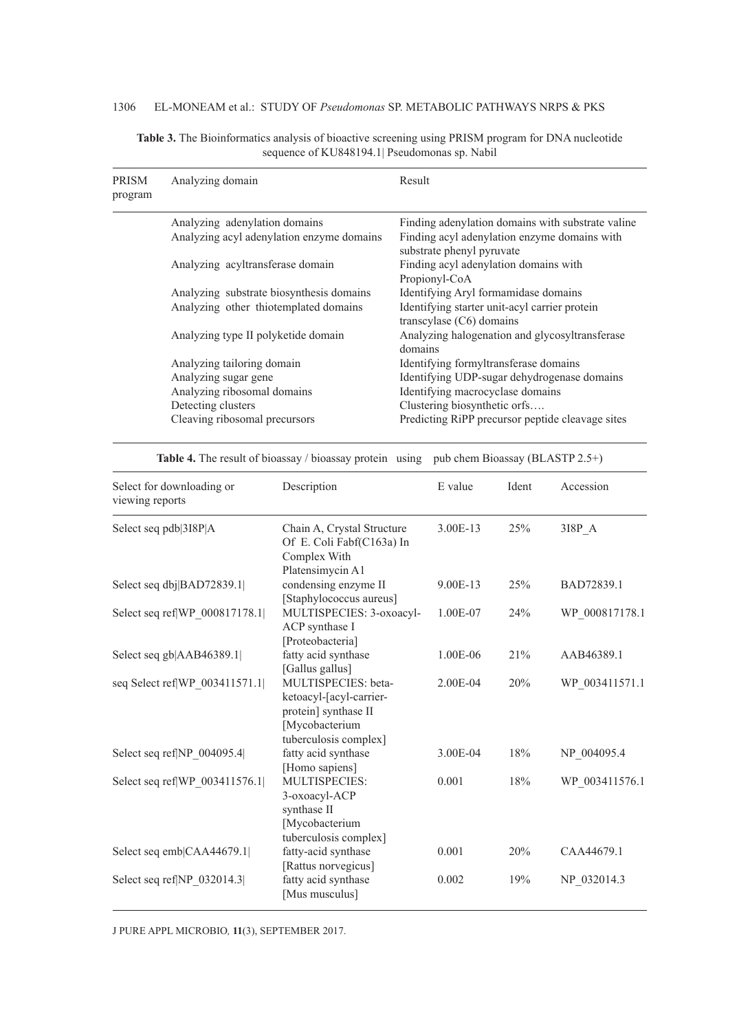# 1306 EL-MONEAM et al.: STUDY OF *Pseudomonas* SP. METABOLIC PATHWAYS NRPS & PKS

| PRISM<br>program | Analyzing domain                          | Result                                                                      |
|------------------|-------------------------------------------|-----------------------------------------------------------------------------|
|                  | Analyzing adenylation domains             | Finding adenylation domains with substrate valine                           |
|                  | Analyzing acyl adenylation enzyme domains | Finding acyl adenylation enzyme domains with<br>substrate phenyl pyruvate   |
|                  | Analyzing acyltransferase domain          | Finding acyl adenylation domains with<br>Propionyl-CoA                      |
|                  | Analyzing substrate biosynthesis domains  | Identifying Aryl formamidase domains                                        |
|                  | Analyzing other thiotemplated domains     | Identifying starter unit-acyl carrier protein<br>transcylase $(C6)$ domains |
|                  | Analyzing type II polyketide domain       | Analyzing halogenation and glycosyltransferase<br>domains                   |
|                  | Analyzing tailoring domain                | Identifying formyltransferase domains                                       |
|                  | Analyzing sugar gene                      | Identifying UDP-sugar dehydrogenase domains                                 |
|                  | Analyzing ribosomal domains               | Identifying macrocyclase domains                                            |
|                  | Detecting clusters                        | Clustering biosynthetic orfs                                                |
|                  | Cleaving ribosomal precursors             | Predicting RiPP precursor peptide cleavage sites                            |

**Table 3.** The Bioinformatics analysis of bioactive screening using PRISM program for DNA nucleotide sequence of KU848194.1| Pseudomonas sp. Nabil

Table 4. The result of bioassay / bioassay protein using pub chem Bioassay (BLASTP 2.5+)

| Select for downloading or<br>viewing reports | Description                                                                                                      | E value  | Ident | Accession      |
|----------------------------------------------|------------------------------------------------------------------------------------------------------------------|----------|-------|----------------|
| Select seq pdb 3I8P A                        | Chain A, Crystal Structure<br>Of E. Coli Fabf(C163a) In<br>Complex With<br>Platensimycin A1                      | 3.00E-13 | 25%   | 318P A         |
| Select seq dbj BAD72839.1                    | condensing enzyme II<br>[Staphylococcus aureus]                                                                  | 9.00E-13 | 25%   | BAD72839.1     |
| Select seq ref WP_000817178.1                | MULTISPECIES: 3-oxoacyl-<br>ACP synthase I<br>[Proteobacteria]                                                   | 1.00E-07 | 24%   | WP 000817178.1 |
| Select seq gb AAB46389.1                     | fatty acid synthase<br>[Gallus gallus]                                                                           | 1.00E-06 | 21%   | AAB46389.1     |
| seq Select ref WP_003411571.1                | MULTISPECIES: beta-<br>ketoacyl-[acyl-carrier-<br>protein] synthase II<br>Mycobacterium<br>tuberculosis complex] | 2.00E-04 | 20%   | WP 003411571.1 |
| Select seq ref NP 004095.4                   | fatty acid synthase<br>[Homo sapiens]                                                                            | 3.00E-04 | 18%   | NP 004095.4    |
| Select seq ref WP 003411576.1                | MULTISPECIES:<br>3-oxoacyl-ACP<br>synthase II<br>[Mycobacterium<br>tuberculosis complex]                         | 0.001    | 18%   | WP 003411576.1 |
| Select seq emb CAA44679.1                    | fatty-acid synthase<br>[Rattus norvegicus]                                                                       | 0.001    | 20%   | CAA44679.1     |
| Select seq ref NP_032014.3                   | fatty acid synthase<br>[Mus musculus]                                                                            | 0.002    | 19%   | NP 032014.3    |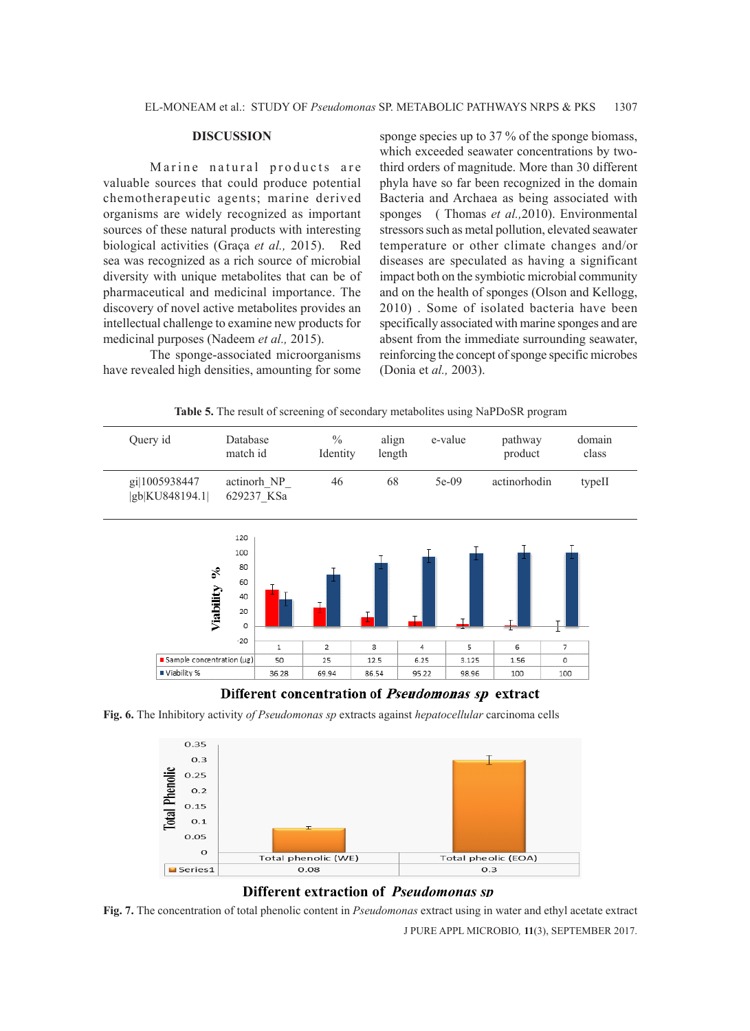#### **DISCUSSION**

Marine natural products are valuable sources that could produce potential chemotherapeutic agents; marine derived organisms are widely recognized as important sources of these natural products with interesting biological activities (Graça *et al.,* 2015). Red sea was recognized as a rich source of microbial diversity with unique metabolites that can be of pharmaceutical and medicinal importance. The discovery of novel active metabolites provides an intellectual challenge to examine new products for medicinal purposes (Nadeem *et al.,* 2015).

The sponge-associated microorganisms have revealed high densities, amounting for some sponge species up to 37 % of the sponge biomass, which exceeded seawater concentrations by twothird orders of magnitude. More than 30 different phyla have so far been recognized in the domain Bacteria and Archaea as being associated with sponges ( Thomas *et al.,*2010). Environmental stressors such as metal pollution, elevated seawater temperature or other climate changes and/or diseases are speculated as having a significant impact both on the symbiotic microbial community and on the health of sponges (Olson and Kellogg, 2010) . Some of isolated bacteria have been specifically associated with marine sponges and are absent from the immediate surrounding seawater, reinforcing the concept of sponge specific microbes (Donia et *al.,* 2003).

**Table 5.** The result of screening of secondary metabolites using NaPDoSR program



Different concentration of *Pseudomonas sp* extract

**Fig. 6.** The Inhibitory activity *of Pseudomonas sp* extracts against *hepatocellular* carcinoma cells



# **Different extraction of** *Pseudomonas sp*

**Fig. 7.** The concentration of total phenolic content in *Pseudomonas* extract using in water and ethyl acetate extract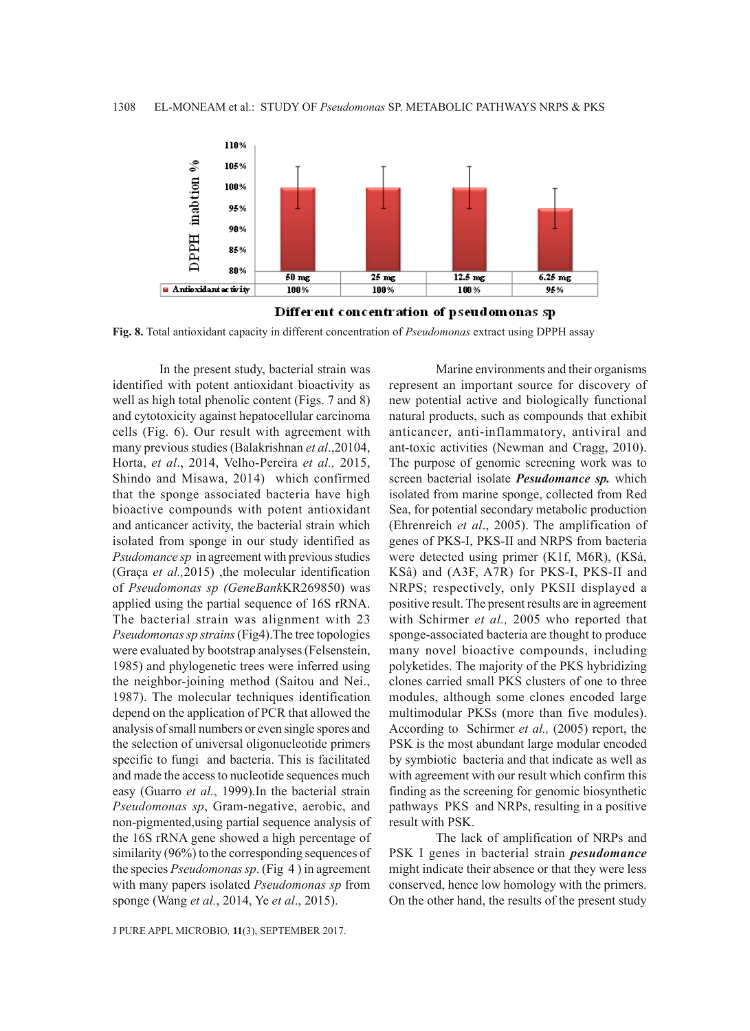



**Fig. 8.** Total antioxidant capacity in different concentration of *Pseudomonas* extract using DPPH assay

In the present study, bacterial strain was identified with potent antioxidant bioactivity as well as high total phenolic content (Figs. 7 and 8) and cytotoxicity against hepatocellular carcinoma cells (Fig. 6). Our result with agreement with many previous studies (Balakrishnan *et al*.,20104, Horta, *et al*., 2014, Velho-Pereira *et al.,* 2015, Shindo and Misawa, 2014) which confirmed that the sponge associated bacteria have high bioactive compounds with potent antioxidant and anticancer activity, the bacterial strain which isolated from sponge in our study identified as *Psudomance sp* in agreement with previous studies (Graça *et al.,*2015) ,the molecular identification of *Pseudomonas sp (GeneBank*KR269850) was applied using the partial sequence of 16S rRNA. The bacterial strain was alignment with 23 *Pseudomonas sp strains* (Fig4).The tree topologies were evaluated by bootstrap analyses (Felsenstein, 1985) and phylogenetic trees were inferred using the neighbor-joining method (Saitou and Nei., 1987). The molecular techniques identification depend on the application of PCR that allowed the analysis of small numbers or even single spores and the selection of universal oligonucleotide primers specific to fungi and bacteria. This is facilitated and made the access to nucleotide sequences much easy (Guarro *et al.*, 1999).In the bacterial strain *Pseudomonas sp*, Gram-negative, aerobic, and non-pigmented,using partial sequence analysis of the 16S rRNA gene showed a high percentage of similarity (96%) to the corresponding sequences of the species *Pseudomonas sp*. (Fig 4 ) in agreement with many papers isolated *Pseudomonas sp* from sponge (Wang *et al.*, 2014, Ye *et al*., 2015).

J PURE APPL MICROBIO*,* **11**(3), SEPTEMBER 2017.

Marine environments and their organisms represent an important source for discovery of new potential active and biologically functional natural products, such as compounds that exhibit anticancer, anti-inflammatory, antiviral and ant-toxic activities (Newman and Cragg, 2010). The purpose of genomic screening work was to screen bacterial isolate *Pesudomance sp.* which isolated from marine sponge, collected from Red Sea, for potential secondary metabolic production (Ehrenreich *et al*., 2005). The amplification of genes of PKS-I, PKS-II and NRPS from bacteria were detected using primer (K1f, M6R), (KSá, KSâ) and (A3F, A7R) for PKS-I, PKS-II and NRPS; respectively, only PKSII displayed a positive result. The present results are in agreement with Schirmer *et al.,* 2005 who reported that sponge-associated bacteria are thought to produce many novel bioactive compounds, including polyketides. The majority of the PKS hybridizing clones carried small PKS clusters of one to three modules, although some clones encoded large multimodular PKSs (more than five modules). According to Schirmer *et al.,* (2005) report, the PSK is the most abundant large modular encoded by symbiotic bacteria and that indicate as well as with agreement with our result which confirm this finding as the screening for genomic biosynthetic pathways PKS and NRPs, resulting in a positive result with PSK.

The lack of amplification of NRPs and PSK I genes in bacterial strain *pesudomance* might indicate their absence or that they were less conserved, hence low homology with the primers. On the other hand, the results of the present study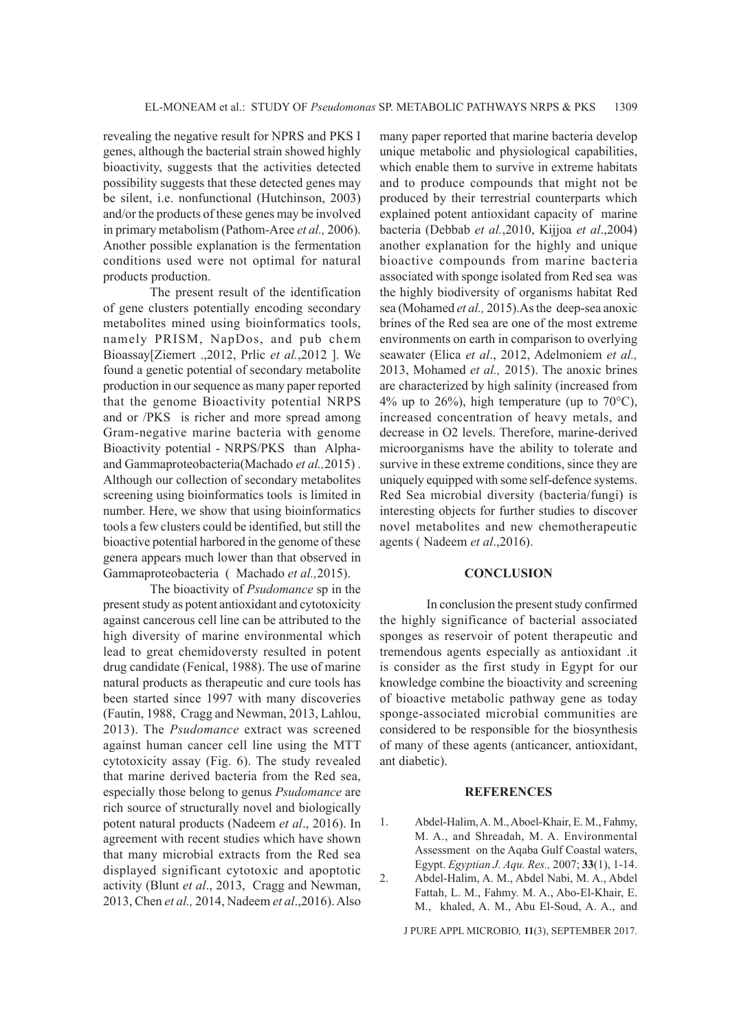revealing the negative result for NPRS and PKS I genes, although the bacterial strain showed highly bioactivity, suggests that the activities detected possibility suggests that these detected genes may be silent, i.e. nonfunctional (Hutchinson, 2003) and/or the products of these genes may be involved in primary metabolism (Pathom-Aree *et al.,* 2006). Another possible explanation is the fermentation conditions used were not optimal for natural products production.

The present result of the identification of gene clusters potentially encoding secondary metabolites mined using bioinformatics tools, namely PRISM, NapDos, and pub chem Bioassay[Ziemert .,2012, Prlic *et al.*,2012 ]. We found a genetic potential of secondary metabolite production in our sequence as many paper reported that the genome Bioactivity potential NRPS and or /PKS is richer and more spread among Gram-negative marine bacteria with genome Bioactivity potential - NRPS/PKS than Alphaand Gammaproteobacteria(Machado *et al.,*2015) . Although our collection of secondary metabolites screening using bioinformatics tools is limited in number. Here, we show that using bioinformatics tools a few clusters could be identified, but still the bioactive potential harbored in the genome of these genera appears much lower than that observed in Gammaproteobacteria ( Machado *et al.,*2015).

The bioactivity of *Psudomance* sp in the present study as potent antioxidant and cytotoxicity against cancerous cell line can be attributed to the high diversity of marine environmental which lead to great chemidoversty resulted in potent drug candidate (Fenical, 1988). The use of marine natural products as therapeutic and cure tools has been started since 1997 with many discoveries (Fautin, 1988, Cragg and Newman, 2013, Lahlou, 2013). The *Psudomance* extract was screened against human cancer cell line using the MTT cytotoxicity assay (Fig. 6). The study revealed that marine derived bacteria from the Red sea, especially those belong to genus *Psudomance* are rich source of structurally novel and biologically potent natural products (Nadeem *et al*., 2016). In agreement with recent studies which have shown that many microbial extracts from the Red sea displayed significant cytotoxic and apoptotic activity (Blunt *et al*., 2013, Cragg and Newman, 2013, Chen *et al.,* 2014, Nadeem *et al*.,2016). Also

many paper reported that marine bacteria develop unique metabolic and physiological capabilities, which enable them to survive in extreme habitats and to produce compounds that might not be produced by their terrestrial counterparts which explained potent antioxidant capacity of marine bacteria (Debbab *et al.*,2010, Kijjoa *et al*.,2004) another explanation for the highly and unique bioactive compounds from marine bacteria associated with sponge isolated from Red sea was the highly biodiversity of organisms habitat Red sea (Mohamed *et al.,* 2015).As the deep-sea anoxic brines of the Red sea are one of the most extreme environments on earth in comparison to overlying seawater (Elica *et al*., 2012, Adelmoniem *et al.,* 2013, Mohamed *et al.,* 2015). The anoxic brines are characterized by high salinity (increased from 4% up to 26%), high temperature (up to  $70^{\circ}$ C), increased concentration of heavy metals, and decrease in O2 levels. Therefore, marine-derived microorganisms have the ability to tolerate and survive in these extreme conditions, since they are uniquely equipped with some self-defence systems. Red Sea microbial diversity (bacteria/fungi) is interesting objects for further studies to discover novel metabolites and new chemotherapeutic agents ( Nadeem *et al*.,2016).

#### **CONCLUSION**

In conclusion the present study confirmed the highly significance of bacterial associated sponges as reservoir of potent therapeutic and tremendous agents especially as antioxidant .it is consider as the first study in Egypt for our knowledge combine the bioactivity and screening of bioactive metabolic pathway gene as today sponge-associated microbial communities are considered to be responsible for the biosynthesis of many of these agents (anticancer, antioxidant, ant diabetic).

#### **REFERENCES**

1. Abdel-Halim, A. M., Aboel-Khair, E. M., Fahmy, M. A., and Shreadah, M. A. Environmental Assessment on the Aqaba Gulf Coastal waters, Egypt. *Egyptian J. Aqu. Res.,* 2007; **33**(1), 1-14. 2. Abdel-Halim, A. M., Abdel Nabi, M. A., Abdel Fattah, L. M., Fahmy. M. A., Abo-El-Khair, E. M., khaled, A. M., Abu El-Soud, A. A., and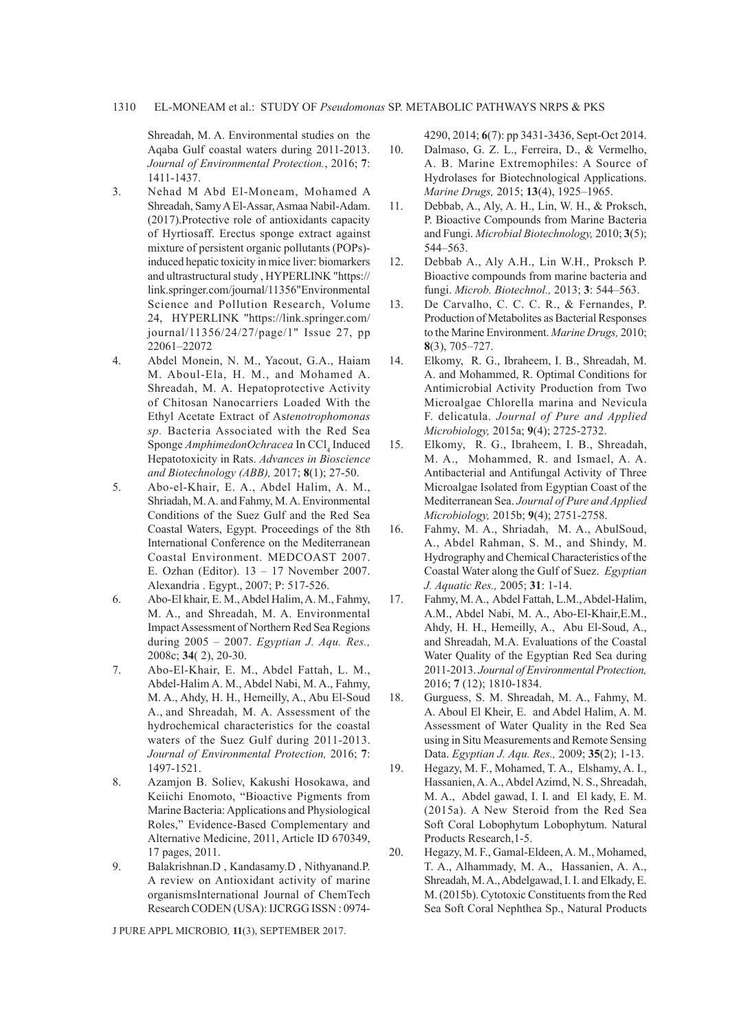Shreadah, M. A. Environmental studies on the Aqaba Gulf coastal waters during 2011-2013. *Journal of Environmental Protection.*, 2016; **7**: 1411-1437.

- 3. Nehad M Abd El-Moneam, Mohamed A Shreadah, Samy A El-Assar, Asmaa Nabil-Adam. (2017).Protective role of antioxidants capacity of Hyrtiosaff. Erectus sponge extract against mixture of persistent organic pollutants (POPs) induced hepatic toxicity in mice liver: biomarkers and ultrastructural study , HYPERLINK "https:// link.springer.com/journal/11356"Environmental Science and Pollution Research, Volume 24, HYPERLINK "https://link.springer.com/ journal/11356/24/27/page/1" Issue 27, pp 22061–22072
- 4. Abdel Monein, N. M., Yacout, G.A., Haiam M. Aboul-Ela, H. M., and Mohamed A. Shreadah, M. A. Hepatoprotective Activity of Chitosan Nanocarriers Loaded With the Ethyl Acetate Extract of As*tenotrophomonas sp.* Bacteria Associated with the Red Sea Sponge AmphimedonOchracea In CCl<sub>4</sub> Induced Hepatotoxicity in Rats. *Advances in Bioscience and Biotechnology (ABB),* 2017; **8**(1); 27-50.
- 5. Abo-el-Khair, E. A., Abdel Halim, A. M., Shriadah, M. A. and Fahmy, M. A. Environmental Conditions of the Suez Gulf and the Red Sea Coastal Waters, Egypt. Proceedings of the 8th International Conference on the Mediterranean Coastal Environment. MEDCOAST 2007. E. Ozhan (Editor). 13 – 17 November 2007. Alexandria . Egypt., 2007; P: 517-526.
- 6. Abo-El khair, E. M., Abdel Halim, A. M., Fahmy, M. A., and Shreadah, M. A. Environmental Impact Assessment of Northern Red Sea Regions during 2005 – 2007. *Egyptian J. Aqu. Res.,*  2008c; **34**( 2), 20-30.
- 7. Abo-El-Khair, E. M., Abdel Fattah, L. M., Abdel-Halim A. M., Abdel Nabi, M. A., Fahmy, M. A., Ahdy, H. H., Hemeilly, A., Abu El-Soud A., and Shreadah, M. A. Assessment of the hydrochemical characteristics for the coastal waters of the Suez Gulf during 2011-2013. *Journal of Environmental Protection,* 2016; **7**: 1497-1521.
- 8. Azamjon B. Soliev, Kakushi Hosokawa, and Keiichi Enomoto, "Bioactive Pigments from Marine Bacteria: Applications and Physiological Roles," Evidence-Based Complementary and Alternative Medicine, 2011, Article ID 670349, 17 pages, 2011.
- 9. Balakrishnan.D , Kandasamy.D , Nithyanand.P. A review on Antioxidant activity of marine organismsInternational Journal of ChemTech Research CODEN (USA): IJCRGG ISSN : 0974-

J PURE APPL MICROBIO*,* **11**(3), SEPTEMBER 2017.

4290, 2014; **6**(7): pp 3431-3436, Sept-Oct 2014.

- 10. Dalmaso, G. Z. L., Ferreira, D., & Vermelho, A. B. Marine Extremophiles: A Source of Hydrolases for Biotechnological Applications. *Marine Drugs,* 2015; **13**(4), 1925–1965.
- 11. Debbab, A., Aly, A. H., Lin, W. H., & Proksch, P. Bioactive Compounds from Marine Bacteria and Fungi. *Microbial Biotechnology,* 2010; **3**(5); 544–563.
- 12. Debbab A., Aly A.H., Lin W.H., Proksch P. Bioactive compounds from marine bacteria and fungi. *Microb. Biotechnol.,* 2013; **3**: 544–563.
- 13. De Carvalho, C. C. C. R., & Fernandes, P. Production of Metabolites as Bacterial Responses to the Marine Environment. *Marine Drugs,* 2010; **8**(3), 705–727.
- 14. Elkomy, R. G., Ibraheem, I. B., Shreadah, M. A. and Mohammed, R. Optimal Conditions for Antimicrobial Activity Production from Two Microalgae Chlorella marina and Nevicula F. delicatula. *Journal of Pure and Applied Microbiology,* 2015a; **9**(4); 2725-2732.
- 15. Elkomy, R. G., Ibraheem, I. B., Shreadah, M. A., Mohammed, R. and Ismael, A. A. Antibacterial and Antifungal Activity of Three Microalgae Isolated from Egyptian Coast of the Mediterranean Sea. *Journal of Pure and Applied Microbiology,* 2015b; **9**(4); 2751-2758.
- 16. Fahmy, M. A., Shriadah, M. A., AbulSoud, A., Abdel Rahman, S. M., and Shindy, M. Hydrography and Chemical Characteristics of the Coastal Water along the Gulf of Suez. *Egyptian J. Aquatic Res.,* 2005; **31**: 1-14.
- 17. Fahmy, M. A., Abdel Fattah, L.M., Abdel-Halim, A.M., Abdel Nabi, M. A., Abo-El-Khair,E.M., Ahdy, H. H., Hemeilly, A., Abu El-Soud, A., and Shreadah, M.A. Evaluations of the Coastal Water Quality of the Egyptian Red Sea during 2011-2013. *Journal of Environmental Protection,* 2016; **7** (12); 1810-1834.
- 18. Gurguess, S. M. Shreadah, M. A., Fahmy, M. A. Aboul El Kheir, E. and Abdel Halim, A. M. Assessment of Water Quality in the Red Sea using in Situ Measurements and Remote Sensing Data. *Egyptian J. Aqu. Res.,* 2009; **35**(2); 1-13.
- 19. Hegazy, M. F., Mohamed, T. A., Elshamy, A. I., Hassanien, A. A., Abdel Azimd, N. S., Shreadah, M. A., Abdel gawad, I. I. and El kady, E. M. (2015a). A New Steroid from the Red Sea Soft Coral Lobophytum Lobophytum. Natural Products Research,1-5.
- 20. Hegazy, M. F., Gamal-Eldeen, A. M., Mohamed, T. A., Alhammady, M. A., Hassanien, A. A., Shreadah, M. A., Abdelgawad, I. I. and Elkady, E. M. (2015b). Cytotoxic Constituents from the Red Sea Soft Coral Nephthea Sp., Natural Products